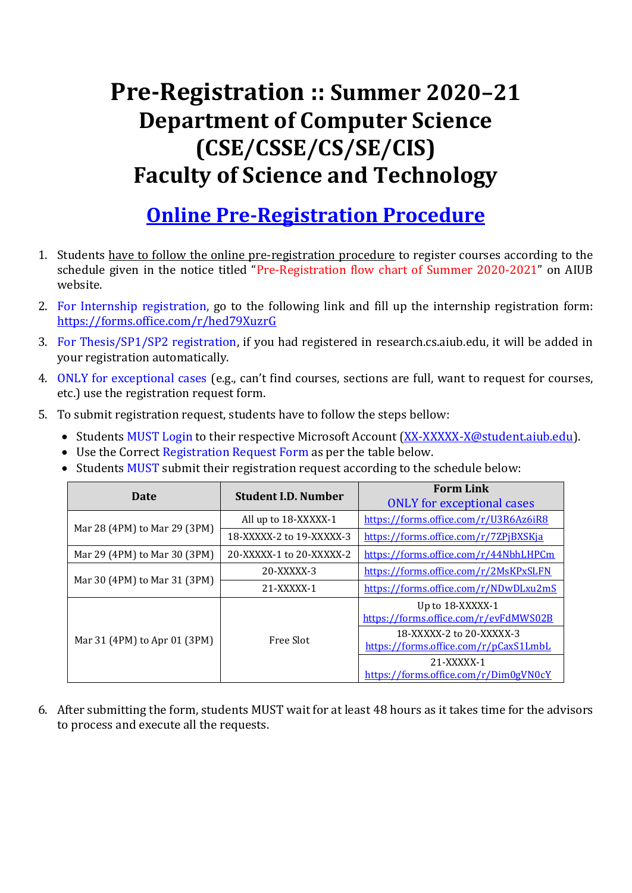## **Pre-Registration :: Summer 2020–21 Department of Computer Science (CSE/CSSE/CS/SE/CIS) Faculty of Science and Technology**

## **Online Pre-Registration Procedure**

- 1. Students have to follow the online pre-registration procedure to register courses according to the schedule given in the notice titled "Pre-Registration flow chart of Summer 2020-2021" on AIUB website.
- 2. For Internship registration, go to the following link and fill up the internship registration form: <https://forms.office.com/r/hed79XuzrG>
- 3. For Thesis/SP1/SP2 registration, if you had registered in research.cs.aiub.edu, it will be added in your registration automatically.
- 4. ONLY for exceptional cases (e.g., can't find courses, sections are full, want to request for courses, etc.) use the registration request form.
- 5. To submit registration request, students have to follow the steps bellow:
	- Students MUST Login to their respective Microsoft Account [\(XX-XXXXX-X@student.aiub.edu\)](mailto:XX-XXXXX-X@student.aiub.edu).
	- Use the Correct Registration Request Form as per the table below.
	- Students MUST submit their registration request according to the schedule below:

| Date                         | <b>Student I.D. Number</b> | <b>Form Link</b><br><b>ONLY</b> for exceptional cases             |
|------------------------------|----------------------------|-------------------------------------------------------------------|
| Mar 28 (4PM) to Mar 29 (3PM) | All up to 18-XXXXX-1       | https://forms.office.com/r/U3R6Az6iR8                             |
|                              | 18-XXXXX-2 to 19-XXXXX-3   | https://forms.office.com/r/7ZPjBXSKja                             |
| Mar 29 (4PM) to Mar 30 (3PM) | 20-XXXXX-1 to 20-XXXXX-2   | https://forms.office.com/r/44NbhLHPCm                             |
| Mar 30 (4PM) to Mar 31 (3PM) | 20-XXXXX-3                 | https://forms.office.com/r/2MsKPxSLFN                             |
|                              | 21-XXXXX-1                 | https://forms.office.com/r/NDwDLxu2mS                             |
| Mar 31 (4PM) to Apr 01 (3PM) | Free Slot                  | Up to 18-XXXXX-1<br>https://forms.office.com/r/evFdMWS02B         |
|                              |                            | 18-XXXXX-2 to 20-XXXXX-3<br>https://forms.office.com/r/pCaxS1LmbL |
|                              |                            | 21-XXXXX-1<br>https://forms.office.com/r/Dim0gVN0cY               |

6. After submitting the form, students MUST wait for at least 48 hours as it takes time for the advisors to process and execute all the requests.